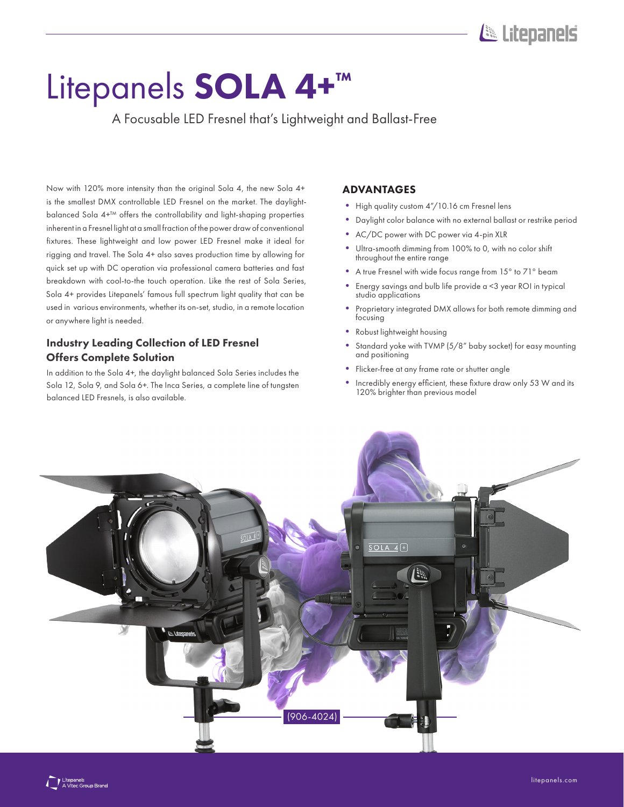# Litepanels

# Litepanels SOLA 4+<sup>™</sup>

A Focusable LED Fresnel that's Lightweight and Ballast-Free

Now with 120% more intensity than the original Sola 4, the new Sola 4+ is the smallest DMX controllable LED Fresnel on the market. The daylightbalanced Sola 4+™ offers the controllability and light-shaping properties inherent in a Fresnel light at a small fraction of the power draw of conventional fixtures. These lightweight and low power LED Fresnel make it ideal for rigging and travel. The Sola 4+ also saves production time by allowing for quick set up with DC operation via professional camera batteries and fast breakdown with cool-to-the touch operation. Like the rest of Sola Series, Sola 4+ provides Litepanels' famous full spectrum light quality that can be used in various environments, whether its on-set, studio, in a remote location or anywhere light is needed.

# Industry Leading Collection of LED Fresnel Offers Complete Solution

In addition to the Sola 4+, the daylight balanced Sola Series includes the Sola 12, Sola 9, and Sola 6+. The Inca Series, a complete line of tungsten balanced LED Fresnels, is also available.

## ADVANTAGES

- High quality custom 4"/10.16 cm Fresnel lens
- Daylight color balance with no external ballast or restrike period
- AC/DC power with DC power via 4-pin XLR
- Ultra-smooth dimming from 100% to 0, with no color shift throughout the entire range
- A true Fresnel with wide focus range from 15° to 71° beam
- Energy savings and bulb life provide a <3 year ROI in typical studio applications
- Proprietary integrated DMX allows for both remote dimming and focusing
- Robust lightweight housing
- Standard yoke with TVMP (5/8" baby socket) for easy mounting and positioning
- Flicker-free at any frame rate or shutter angle
- Incredibly energy efficient, these fixture draw only 53 W and its 120% brighter than previous model